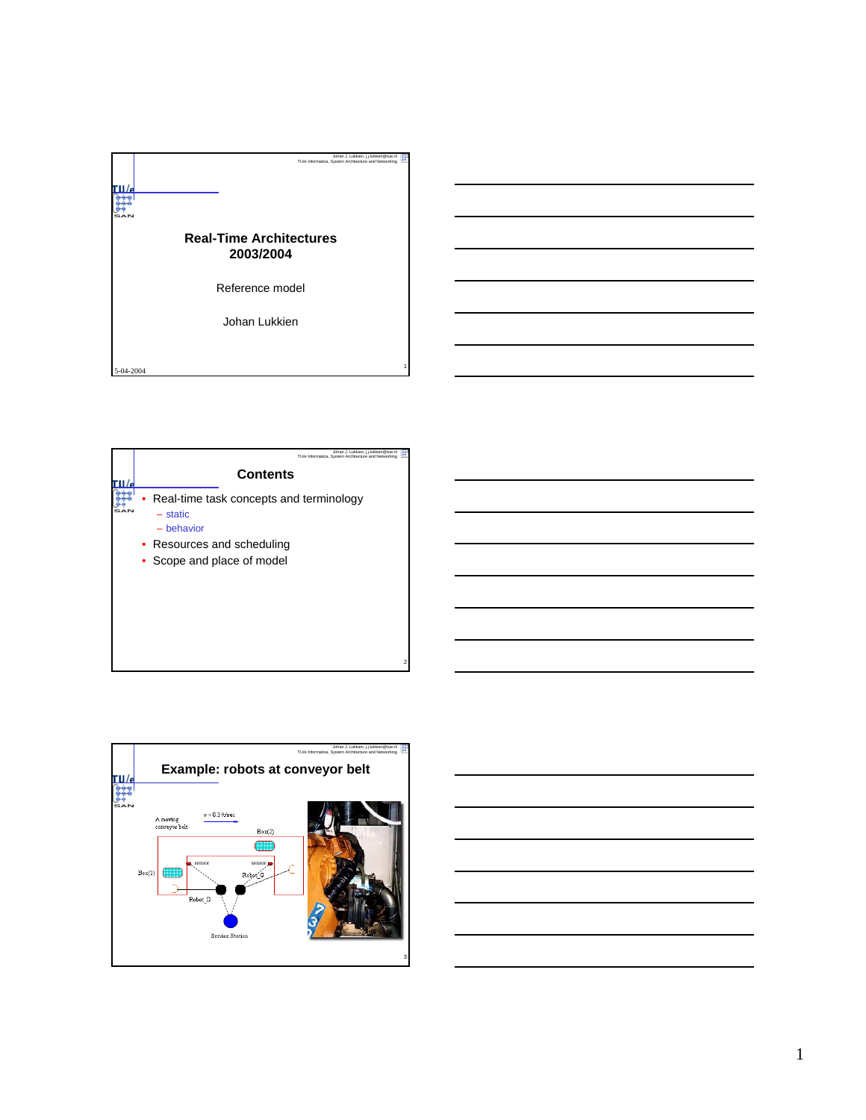



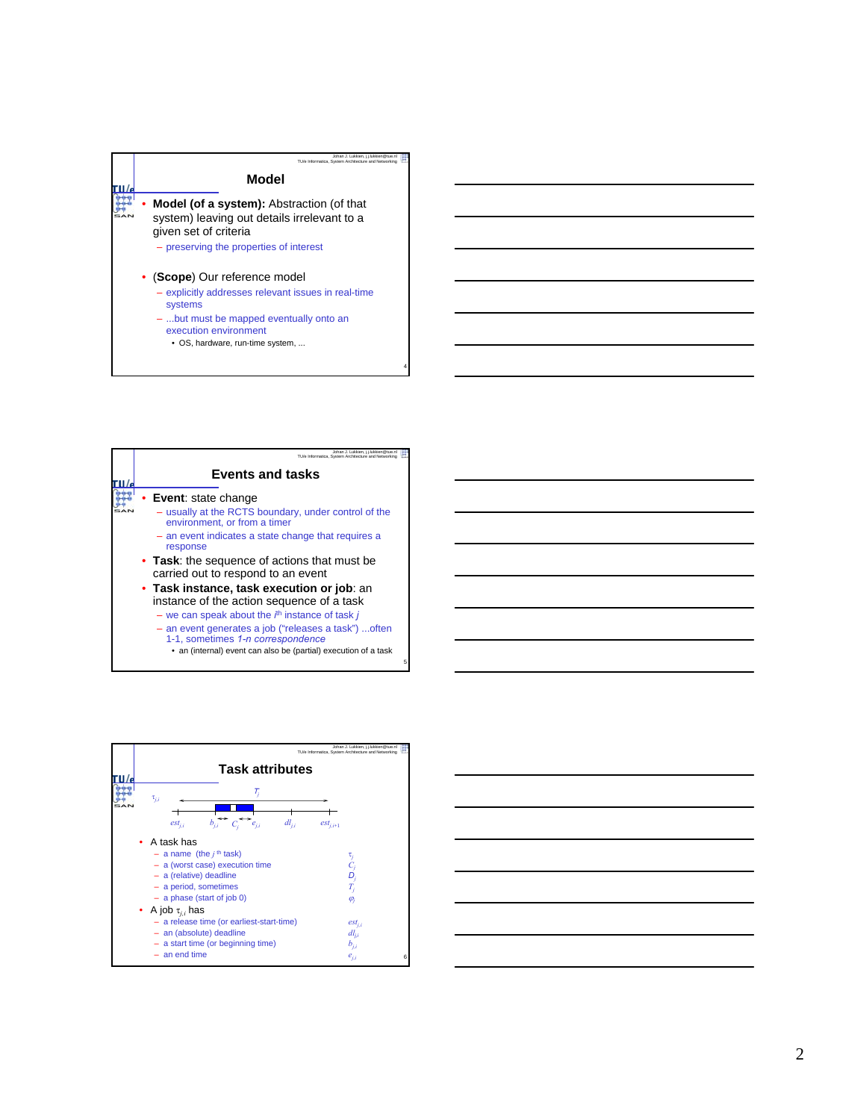

– ...but must be mapped eventually onto an execution environment

4

5

• OS, hardware, run-time system, ...



- 1-1, sometimes *1-n correspondence*
	- an (internal) event can also be (partial) execution of a task



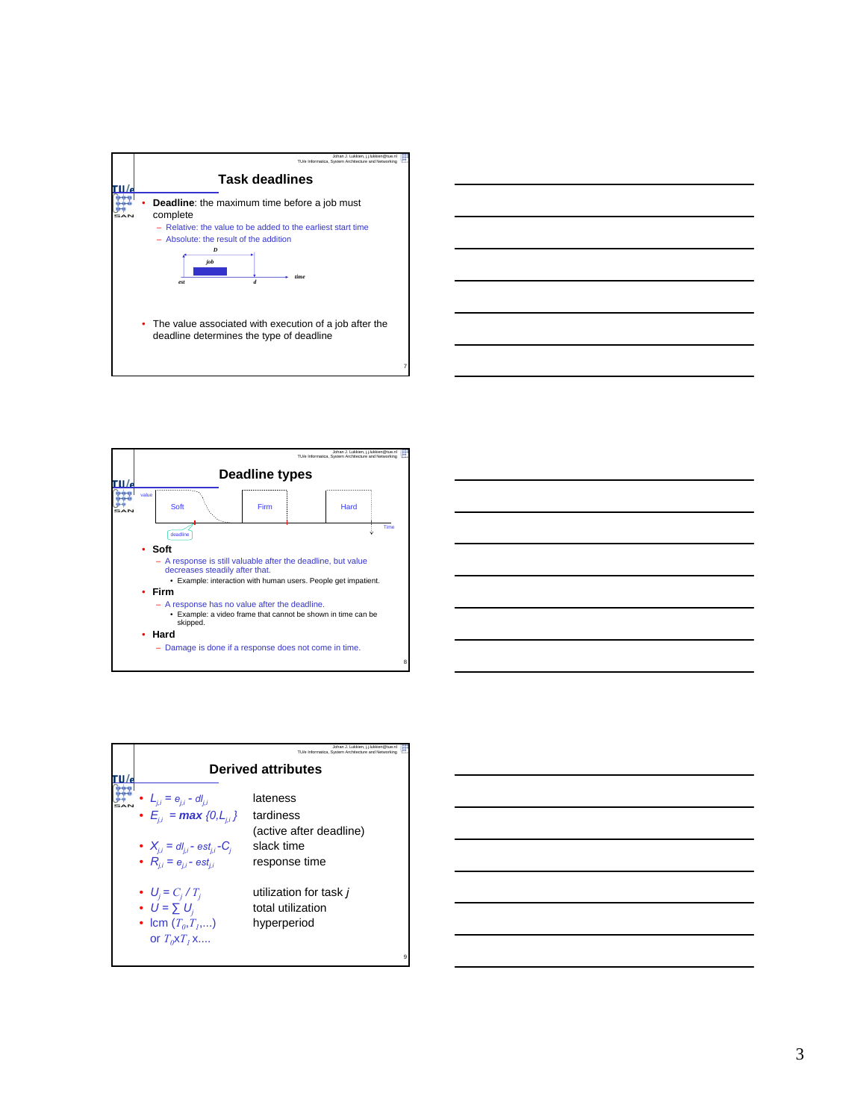





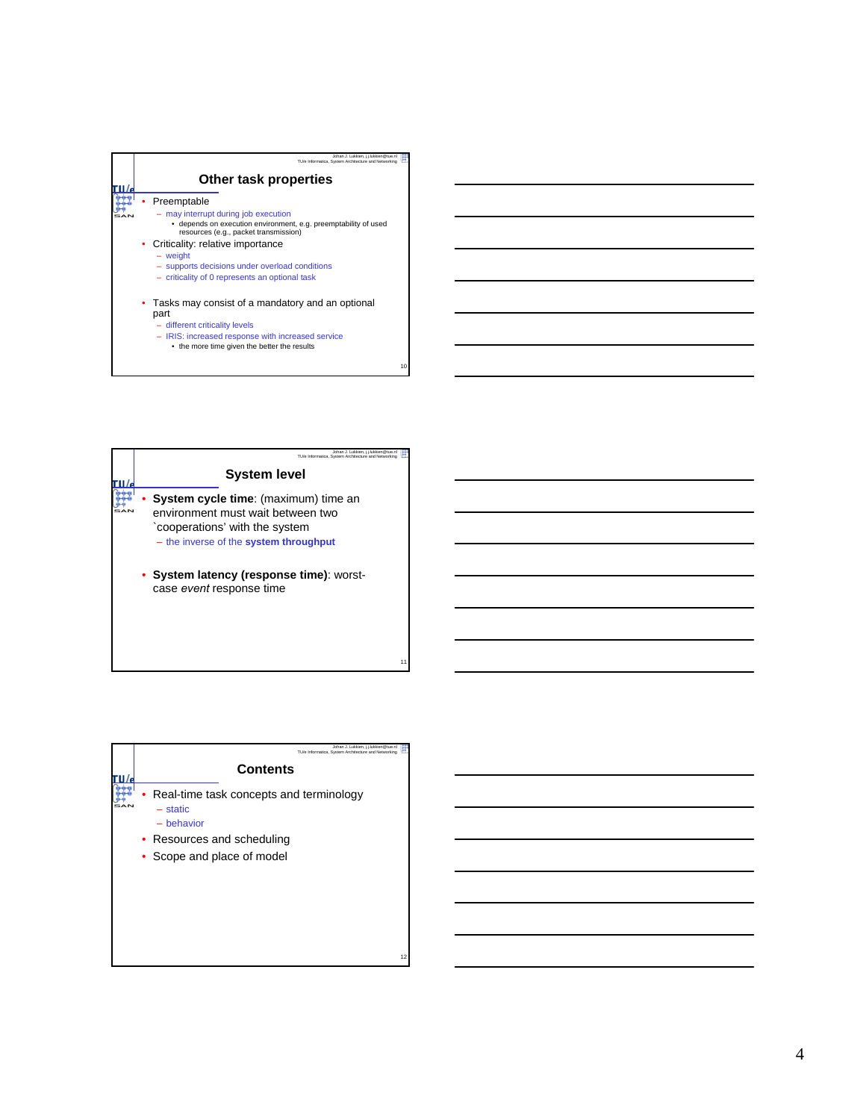

10



| Johan J. Lukkien, i.i.lukkien@tue.nl<br>TU/e Informatica. System Architecture and Networking                                  |    |
|-------------------------------------------------------------------------------------------------------------------------------|----|
| <b>Contents</b>                                                                                                               |    |
| Real-time task concepts and terminology<br>$-$ static<br>- behavior<br>• Resources and scheduling<br>Scope and place of model |    |
|                                                                                                                               | 12 |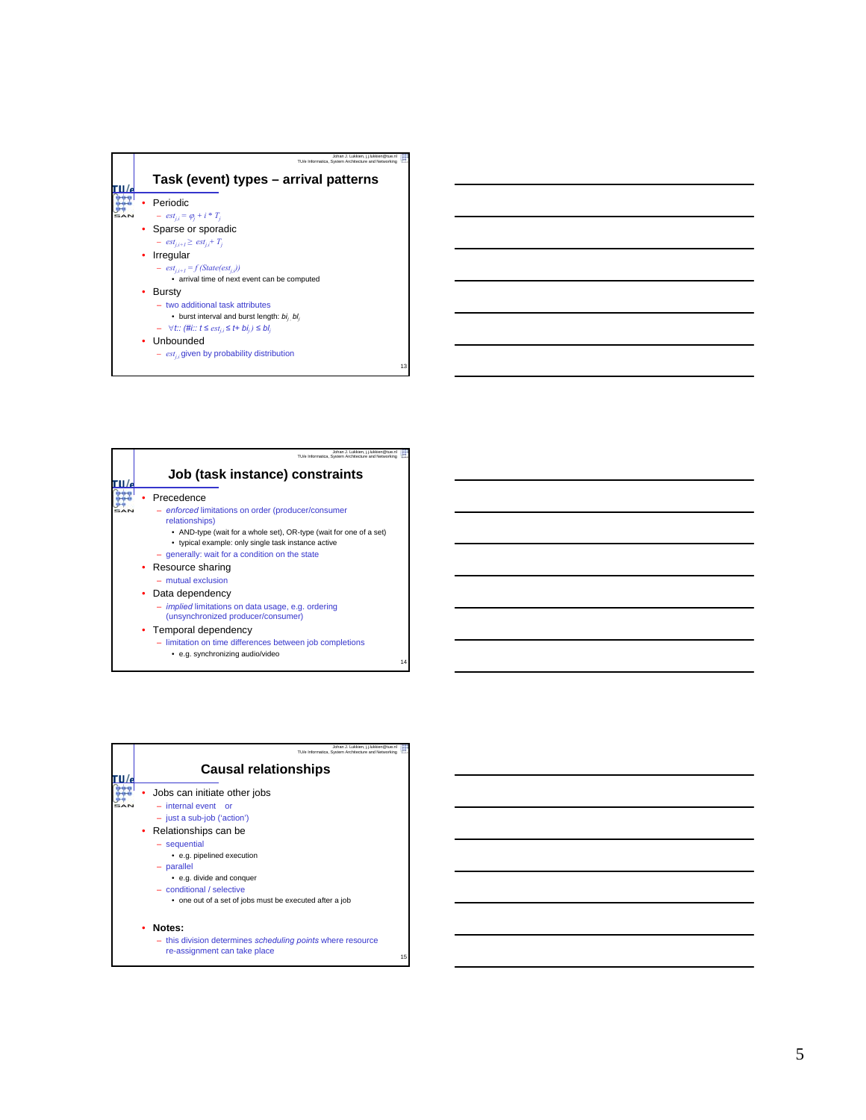





5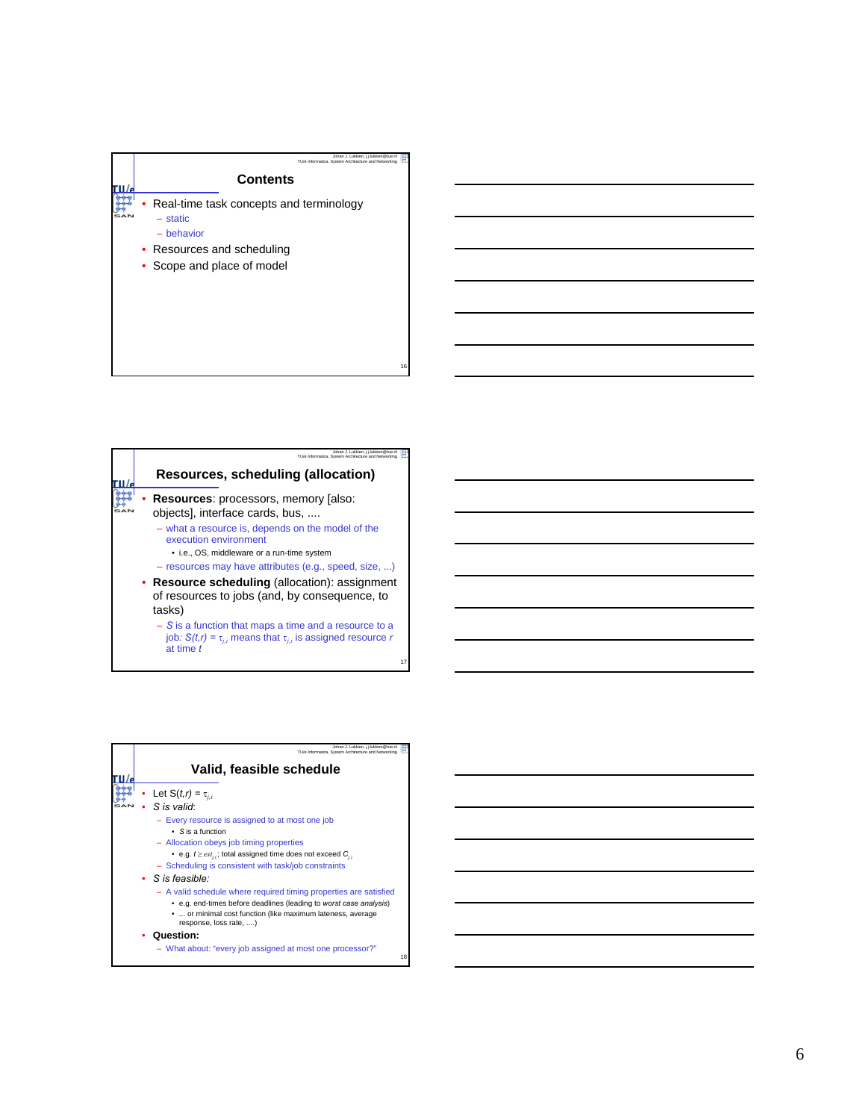

| Johan J. Lukkien, i.i.lukkien@tue.n<br>TU/e Informatica, System Architecture and Networking                                                        |
|----------------------------------------------------------------------------------------------------------------------------------------------------|
| Resources, scheduling (allocation)                                                                                                                 |
| <b>Resources:</b> processors, memory [also:<br>objects], interface cards, bus,                                                                     |
| - what a resource is, depends on the model of the<br>execution environment                                                                         |
| • i.e., OS, middleware or a run-time system<br>- resources may have attributes (e.g., speed, size, )                                               |
| • Resource scheduling (allocation): assignment<br>of resources to jobs (and, by consequence, to<br>tasks)                                          |
| $-$ S is a function that maps a time and a resource to a<br>job: $S(t,r) = \tau_{i,i}$ means that $\tau_{i,i}$ is assigned resource r<br>at time t |

17

| Johan J. Lukkien, i.i.lukkien@tue.nl<br>TU/e Informatica. System Architecture and Networking                                                                                                                                                                                                                                                                                                                                                                                 |    |
|------------------------------------------------------------------------------------------------------------------------------------------------------------------------------------------------------------------------------------------------------------------------------------------------------------------------------------------------------------------------------------------------------------------------------------------------------------------------------|----|
| Valid, feasible schedule                                                                                                                                                                                                                                                                                                                                                                                                                                                     |    |
| Let $S(t,r) = \tau_{i,i}$<br>S is valid:<br>- Every resource is assigned to at most one job<br>$\cdot$ S is a function<br>- Allocation obeys job timing properties<br>• e.g. $t \geq est_{ij}$ ; total assigned time does not exceed $C_{ij}$<br>- Scheduling is consistent with task/job constraints<br>$\bullet$ S is feasible:<br>- A valid schedule where required timing properties are satisfied<br>• e.g. end-times before deadlines (leading to worst case analysis) |    |
| •  or minimal cost function (like maximum lateness, average<br>response, loss rate, )<br>Question:<br>- What about: "every job assigned at most one processor?"                                                                                                                                                                                                                                                                                                              | 18 |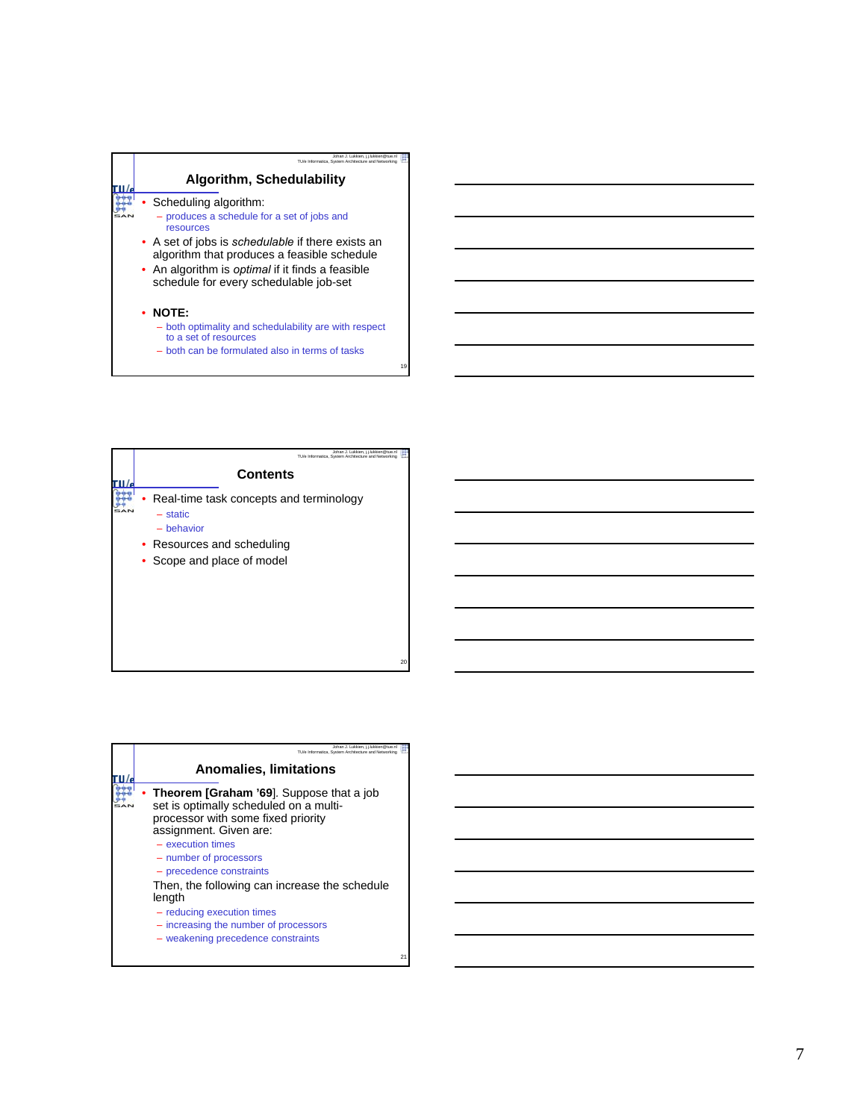## **Algorithm, Schedulability**

Johan J. Lukkien, j.j.lukkien@tue.nl TU/e Informatica, System Architecture and Networking

19

20

- Scheduling algorithm: – produces a schedule for a set of jobs and resources
- A set of jobs is *schedulable* if there exists an algorithm that produces a feasible schedule
- An algorithm is *optimal* if it finds a feasible schedule for every schedulable job-set
- **NOTE:**

ru/ m τ.

- both optimality and schedulability are with respect to a set of resources
- both can be formulated also in terms of tasks

| Johan J. Lukkien, i.i.lukkien@tue.nl<br>TU/e Informatica, System Architecture and Networking                                  |
|-------------------------------------------------------------------------------------------------------------------------------|
| <b>Contents</b>                                                                                                               |
| Real-time task concepts and terminology<br>- static<br>- behavior<br>• Resources and scheduling<br>• Scope and place of model |

| Johan J. Lukkien, i.i.lukkien@tue.nl<br>TU/e Informatica. System Architecture and Networking                                                                                                                                                                                                                                                                             |    |
|--------------------------------------------------------------------------------------------------------------------------------------------------------------------------------------------------------------------------------------------------------------------------------------------------------------------------------------------------------------------------|----|
| <b>Anomalies, limitations</b>                                                                                                                                                                                                                                                                                                                                            |    |
| <b>Theorem [Graham '69].</b> Suppose that a job<br>set is optimally scheduled on a multi-<br>processor with some fixed priority<br>assignment. Given are:<br>$-$ execution times<br>- number of processors<br>- precedence constraints<br>Then, the following can increase the schedule<br>length<br>- reducing execution times<br>- increasing the number of processors |    |
| - weakening precedence constraints                                                                                                                                                                                                                                                                                                                                       | 21 |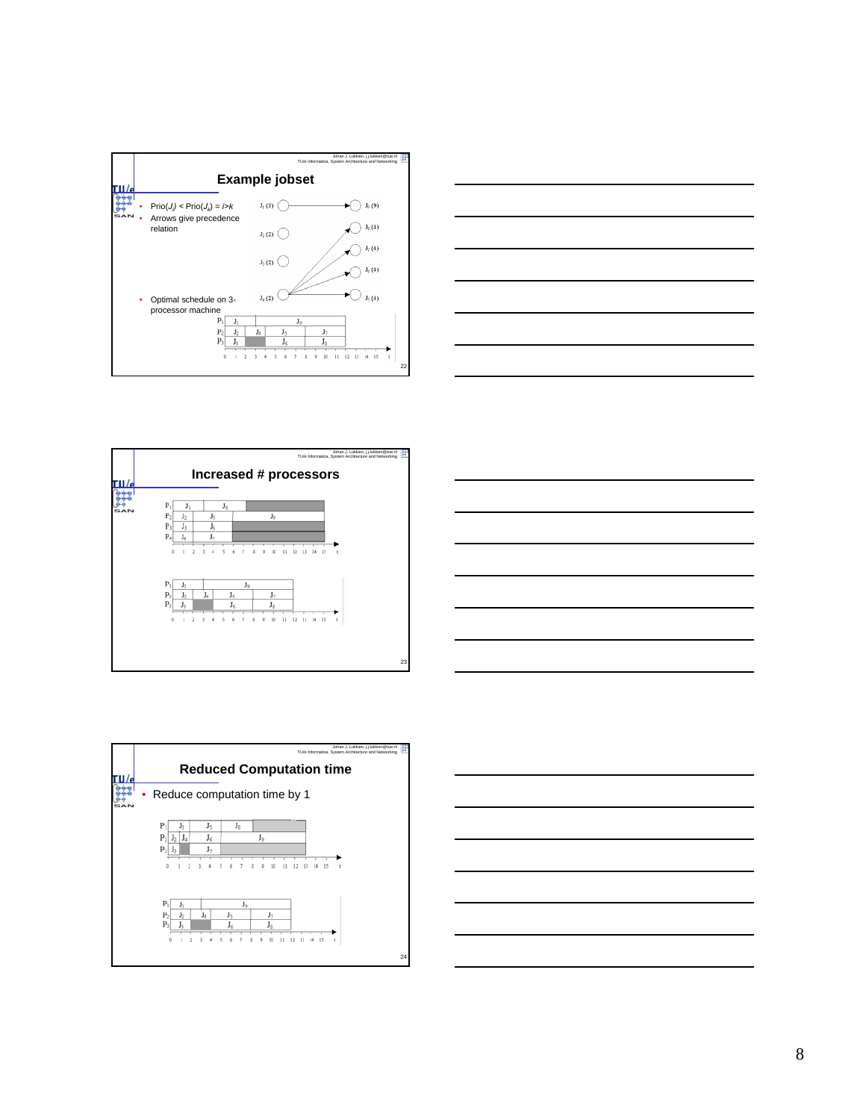